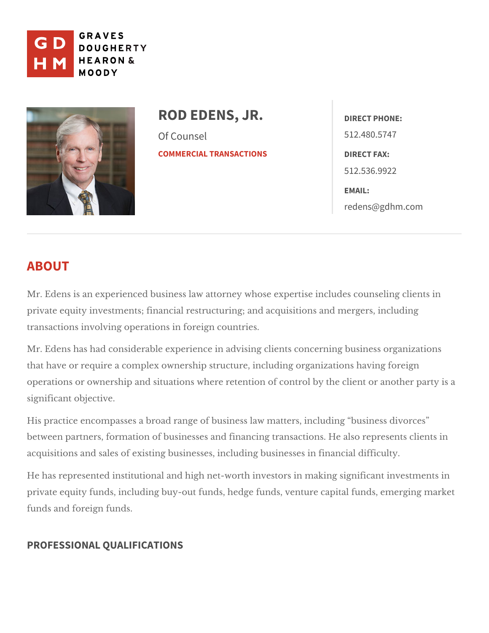

ROD EDENS, JR. Of Counsel [COMMERCIAL TRA](https://www.gdhm.com/practice-areas/commercial-transactions/)NSACTIONS DIRECT FAX: DIRECT PHONE: 512.480.5747 512.536.9922 EMAIL: [redens@gdh](mailto:redens@gdhm.com)m.com

# ABOUT

Mr. Edens is an experienced business law attorney whose expertise includes private equity investments; financial restructuring; and acquisitions and mer transactions involving opefateogs crountries.

Mr. Edens has had considerable experience in advising clients concerning bu that have or require a complex ownership structure, including organizations  $\vert$ operations or ownership and situations where retention of control by the clie significant objective.

His practice encompasses a broad range of business law matters, including between partners, formation of businesses and financing transactions. He als acquisitions and sales of existing businesses, in*tilnuadning gab* wdsifinesusteys in

He has represented institutional and high net-worth investors in making sign private equity funds, including buy-out funds, hedge funds, venture capital fi funds and reign funds.

# PROFESSIONAL QUALIFICATIONS